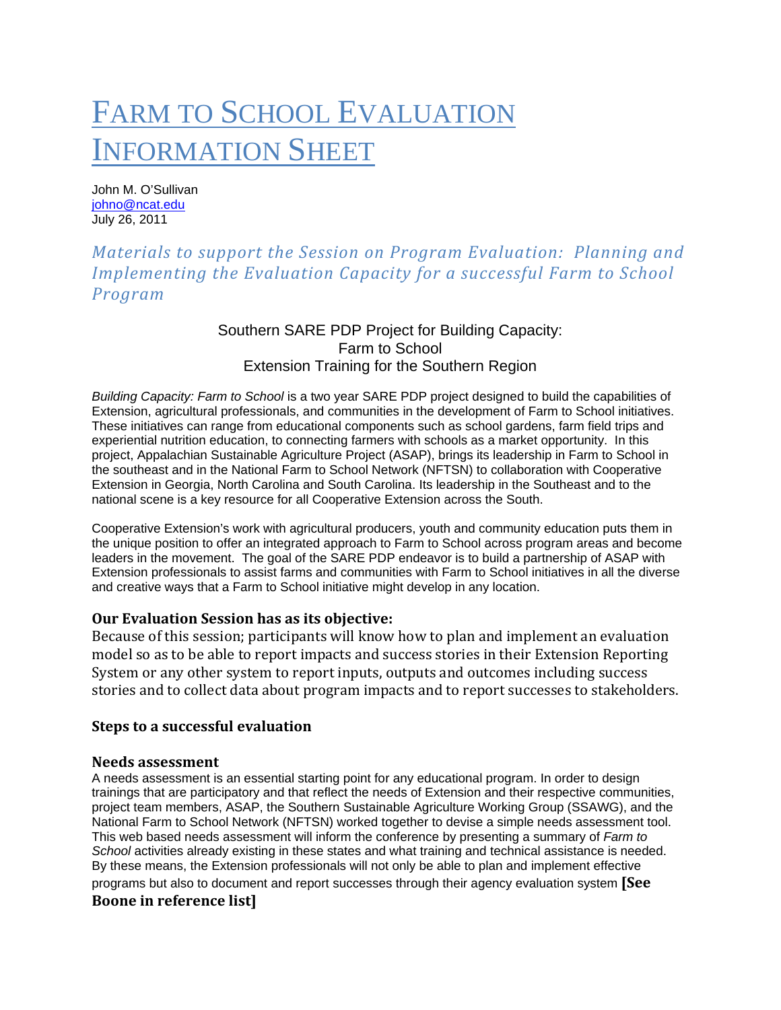# FARM TO SCHOOL EVALUATION INFORMATION SHEET

John M. O'Sullivan johno@ncat.edu July 26, 2011

# *Materials to support the Session on Program Evaluation: Planning and Implementing the Evaluation Capacity for a successful Farm to School Program*

# Southern SARE PDP Project for Building Capacity: Farm to School Extension Training for the Southern Region

*Building Capacity: Farm to School* is a two year SARE PDP project designed to build the capabilities of Extension, agricultural professionals, and communities in the development of Farm to School initiatives. These initiatives can range from educational components such as school gardens, farm field trips and experiential nutrition education, to connecting farmers with schools as a market opportunity. In this project, Appalachian Sustainable Agriculture Project (ASAP), brings its leadership in Farm to School in the southeast and in the National Farm to School Network (NFTSN) to collaboration with Cooperative Extension in Georgia, North Carolina and South Carolina. Its leadership in the Southeast and to the national scene is a key resource for all Cooperative Extension across the South.

Cooperative Extension's work with agricultural producers, youth and community education puts them in the unique position to offer an integrated approach to Farm to School across program areas and become leaders in the movement. The goal of the SARE PDP endeavor is to build a partnership of ASAP with Extension professionals to assist farms and communities with Farm to School initiatives in all the diverse and creative ways that a Farm to School initiative might develop in any location.

# **Our Evaluation Session has as its objective:**

Because of this session; participants will know how to plan and implement an evaluation model so as to be able to report impacts and success stories in their Extension Reporting System or any other system to report inputs, outputs and outcomes including success stories and to collect data about program impacts and to report successes to stakeholders.

#### **Steps to a successful evaluation**

#### **Needs assessment**

A needs assessment is an essential starting point for any educational program. In order to design trainings that are participatory and that reflect the needs of Extension and their respective communities, project team members, ASAP, the Southern Sustainable Agriculture Working Group (SSAWG), and the National Farm to School Network (NFTSN) worked together to devise a simple needs assessment tool. This web based needs assessment will inform the conference by presenting a summary of *Farm to School* activities already existing in these states and what training and technical assistance is needed. By these means, the Extension professionals will not only be able to plan and implement effective programs but also to document and report successes through their agency evaluation system **[See Boone in reference list]**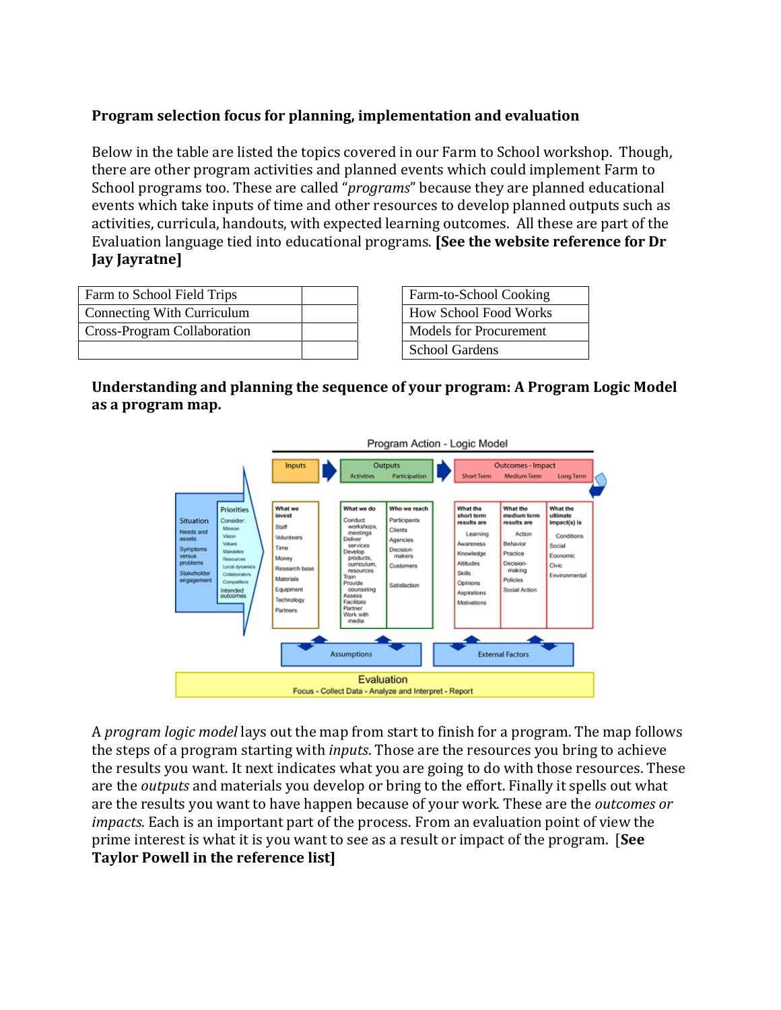# **Program selection focus for planning, implementation and evaluation**

Below in the table are listed the topics covered in our Farm to School workshop. Though, there are other program activities and planned events which could implement Farm to School programs too. These are called "*programs*" because they are planned educational events which take inputs of time and other resources to develop planned outputs such as activities, curricula, handouts, with expected learning outcomes. All these are part of the Evaluation language tied into educational programs. **[See the website reference for Dr Jay Jayratne]**

| Farm to School Field Trips        |  | Farm-to-School Cooking        |
|-----------------------------------|--|-------------------------------|
| <b>Connecting With Curriculum</b> |  | <b>How School Food Works</b>  |
| Cross-Program Collaboration       |  | <b>Models for Procurement</b> |
|                                   |  | <b>School Gardens</b>         |

| Farm-to-School Cooking       |
|------------------------------|
| <b>How School Food Works</b> |
| Models for Procurement       |
| <b>School Gardens</b>        |

# **Understanding and planning the sequence of your program: A Program Logic Model as a program map.**



A *program logic model* lays out the map from start to finish for a program. The map follows the steps of a program starting with *inputs*. Those are the resources you bring to achieve the results you want. It next indicates what you are going to do with those resources. These are the *outputs* and materials you develop or bring to the effort. Finally it spells out what are the results you want to have happen because of your work. These are the *outcomes or impacts*. Each is an important part of the process. From an evaluation point of view the prime interest is what it is you want to see as a result or impact of the program. [**See Taylor Powell in the reference list]**